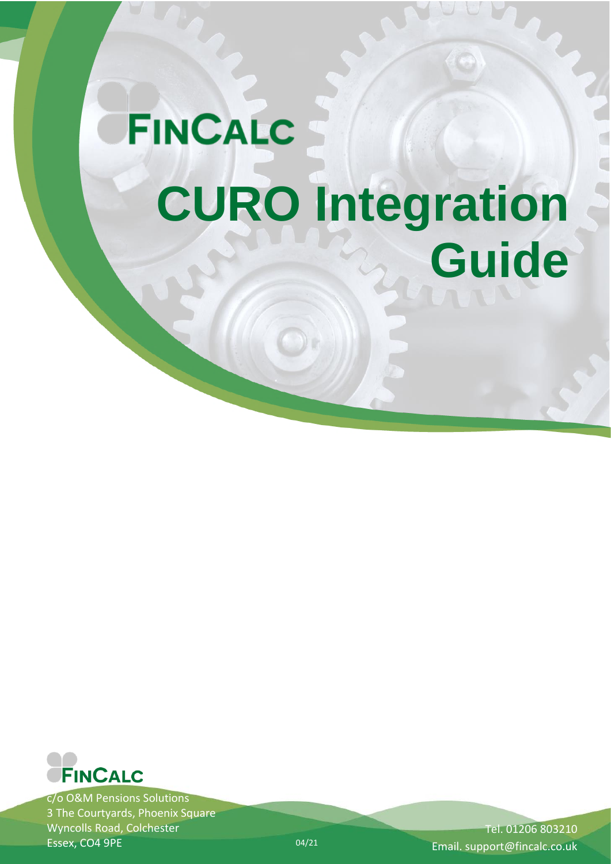# **FINCALC CURO Integration Guide**



c/o O&M Pensions Solutions 3 The Courtyards, Phoenix Square Wyncolls Road, Colchester Essex, CO4 9PE

Tel. 01206 803210 Email. support@fincalc.co.uk

04/21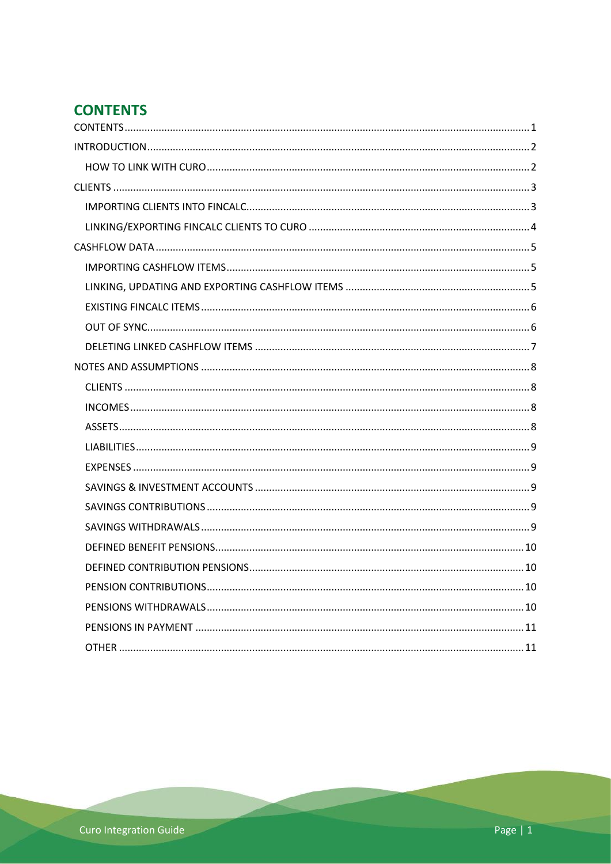# <span id="page-1-0"></span>**CONTENTS**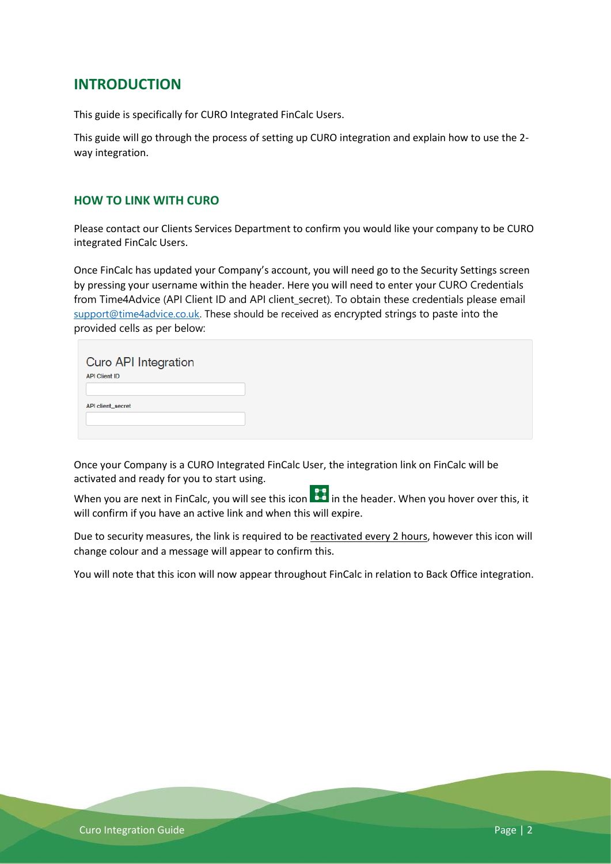# <span id="page-2-0"></span>**INTRODUCTION**

This guide is specifically for CURO Integrated FinCalc Users.

This guide will go through the process of setting up CURO integration and explain how to use the 2 way integration.

## <span id="page-2-1"></span>**HOW TO LINK WITH CURO**

Please contact our Clients Services Department to confirm you would like your company to be CURO integrated FinCalc Users.

Once FinCalc has updated your Company's account, you will need go to the Security Settings screen by pressing your username within the header. Here you will need to enter your CURO Credentials from Time4Advice (API Client ID and API client secret). To obtain these credentials please email [support@time4advice.co.uk.](mailto:support@time4advice.co.uk) These should be received as encrypted strings to paste into the provided cells as per below:

| <b>Curo API Integration</b><br><b>API Client ID</b> |  |  |
|-----------------------------------------------------|--|--|
| API client_secret                                   |  |  |
|                                                     |  |  |

Once your Company is a CURO Integrated FinCalc User, the integration link on FinCalc will be activated and ready for you to start using.

When you are next in FinCalc, you will see this icon **in the header.** When you hover over this, it will confirm if you have an active link and when this will expire.

Due to security measures, the link is required to be reactivated every 2 hours, however this icon will change colour and a message will appear to confirm this.

You will note that this icon will now appear throughout FinCalc in relation to Back Office integration.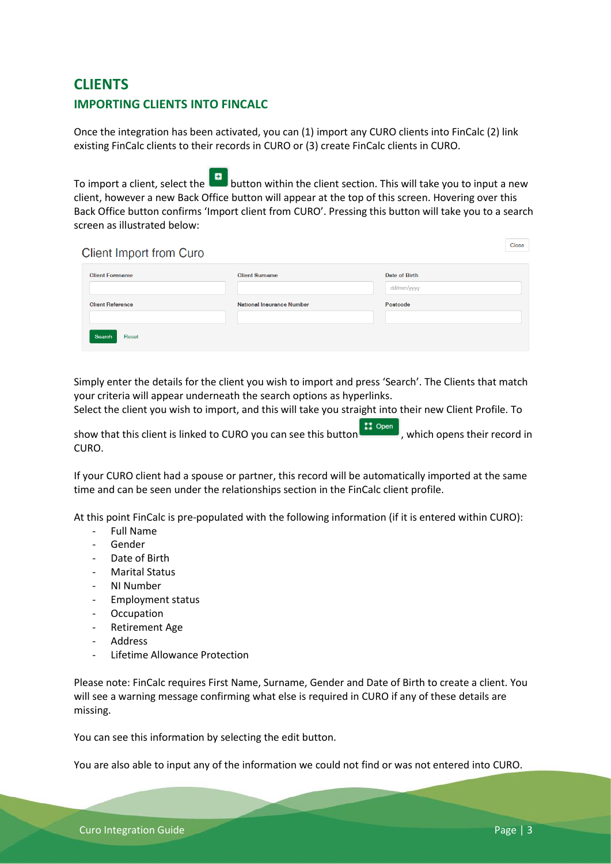# <span id="page-3-1"></span><span id="page-3-0"></span>**CLIENTS IMPORTING CLIENTS INTO FINCALC**

Once the integration has been activated, you can (1) import any CURO clients into FinCalc (2) link existing FinCalc clients to their records in CURO or (3) create FinCalc clients in CURO.

To import a client, select the **button within the client section.** This will take you to input a new client, however a new Back Office button will appear at the top of this screen. Hovering over this Back Office button confirms 'Import client from CURO'. Pressing this button will take you to a search screen as illustrated below:

**Client Import from Curo** 

| <b>Client Forename</b>  | <b>Client Surname</b>            | <b>Date of Birth</b><br>dd/mm/yyyy |
|-------------------------|----------------------------------|------------------------------------|
| <b>Client Reference</b> | <b>National Insurance Number</b> | Postcode                           |
| Search<br>Reset         |                                  |                                    |

Simply enter the details for the client you wish to import and press 'Search'. The Clients that match your criteria will appear underneath the search options as hyperlinks.

Select the client you wish to import, and this will take you straight into their new Client Profile. To

show that this client is linked to CURO you can see this button  $\left\{ \frac{11}{10}\right\}$  , which opens their record in CURO.

If your CURO client had a spouse or partner, this record will be automatically imported at the same time and can be seen under the relationships section in the FinCalc client profile.

At this point FinCalc is pre-populated with the following information (if it is entered within CURO):

- Full Name
- **Gender**
- Date of Birth
- Marital Status
- NI Number
- Employment status
- **Occupation**
- Retirement Age
- **Address**
- Lifetime Allowance Protection

Please note: FinCalc requires First Name, Surname, Gender and Date of Birth to create a client. You will see a warning message confirming what else is required in CURO if any of these details are missing.

You can see this information by selecting the edit button.

You are also able to input any of the information we could not find or was not entered into CURO.

Close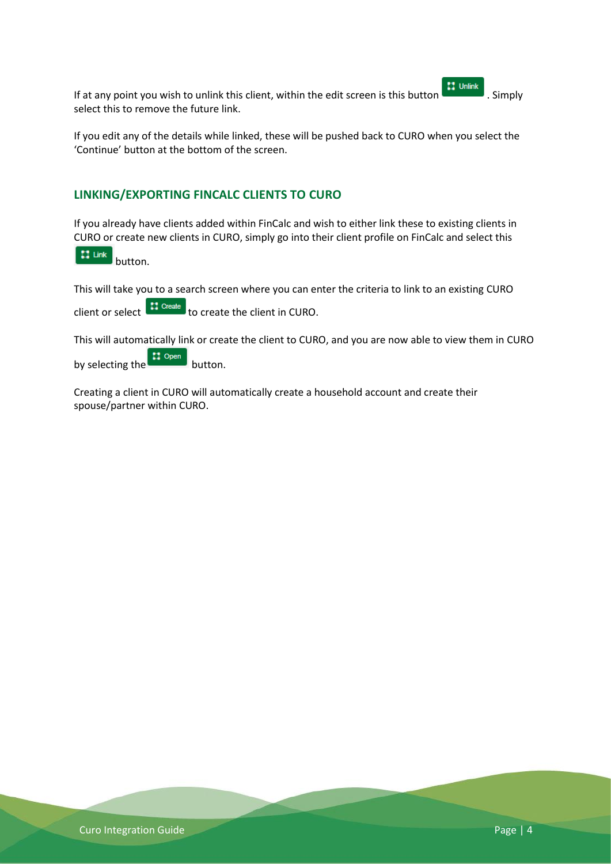If at any point you wish to unlink this client, within the edit screen is this button  $\left| \cdot \right|$  . Simply select this to remove the future link.

If you edit any of the details while linked, these will be pushed back to CURO when you select the 'Continue' button at the bottom of the screen.

## <span id="page-4-0"></span>**LINKING/EXPORTING FINCALC CLIENTS TO CURO**

If you already have clients added within FinCalc and wish to either link these to existing clients in CURO or create new clients in CURO, simply go into their client profile on FinCalc and select this

 $11$  Link button.

This will take you to a search screen where you can enter the criteria to link to an existing CURO

client or select  $\begin{bmatrix} \mathbf{r} \mathbf{1} & \mathbf{C} \mathbf{r} \end{bmatrix}$  to create the client in CURO.

This will automatically link or create the client to CURO, and you are now able to view them in CURO by selecting the **container** button.

Creating a client in CURO will automatically create a household account and create their spouse/partner within CURO.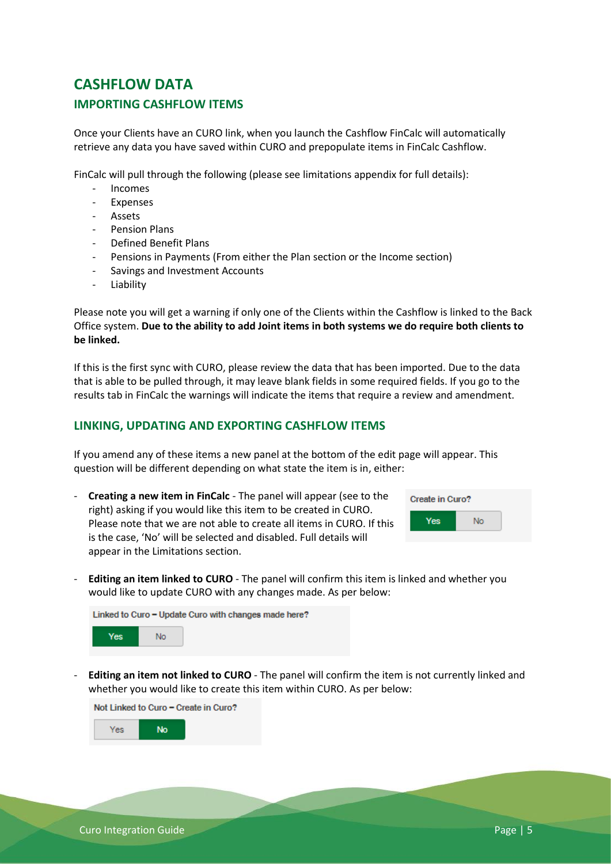# <span id="page-5-1"></span><span id="page-5-0"></span>**CASHFLOW DATA IMPORTING CASHFLOW ITEMS**

Once your Clients have an CURO link, when you launch the Cashflow FinCalc will automatically retrieve any data you have saved within CURO and prepopulate items in FinCalc Cashflow.

FinCalc will pull through the following (please see limitations appendix for full details):

- Incomes
- **Expenses**
- Assets
- Pension Plans
- Defined Benefit Plans
- Pensions in Payments (From either the Plan section or the Income section)
- Savings and Investment Accounts
- **Liability**

Please note you will get a warning if only one of the Clients within the Cashflow is linked to the Back Office system. **Due to the ability to add Joint items in both systems we do require both clients to be linked.** 

If this is the first sync with CURO, please review the data that has been imported. Due to the data that is able to be pulled through, it may leave blank fields in some required fields. If you go to the results tab in FinCalc the warnings will indicate the items that require a review and amendment.

## <span id="page-5-2"></span>**LINKING, UPDATING AND EXPORTING CASHFLOW ITEMS**

If you amend any of these items a new panel at the bottom of the edit page will appear. This question will be different depending on what state the item is in, either:

- **Creating a new item in FinCalc** - The panel will appear (see to the right) asking if you would like this item to be created in CURO. Please note that we are not able to create all items in CURO. If this is the case, 'No' will be selected and disabled. Full details will appear in the Limitations section.

| Create in Curo? |    |  |  |  |
|-----------------|----|--|--|--|
| Yes             | No |  |  |  |

- **Editing an item linked to CURO** - The panel will confirm this item is linked and whether you would like to update CURO with any changes made. As per below:

| Linked to Curo – Update Curo with changes made here? |     |  |  |  |  |
|------------------------------------------------------|-----|--|--|--|--|
| Yes:                                                 | No. |  |  |  |  |

- **Editing an item not linked to CURO** - The panel will confirm the item is not currently linked and whether you would like to create this item within CURO. As per below:

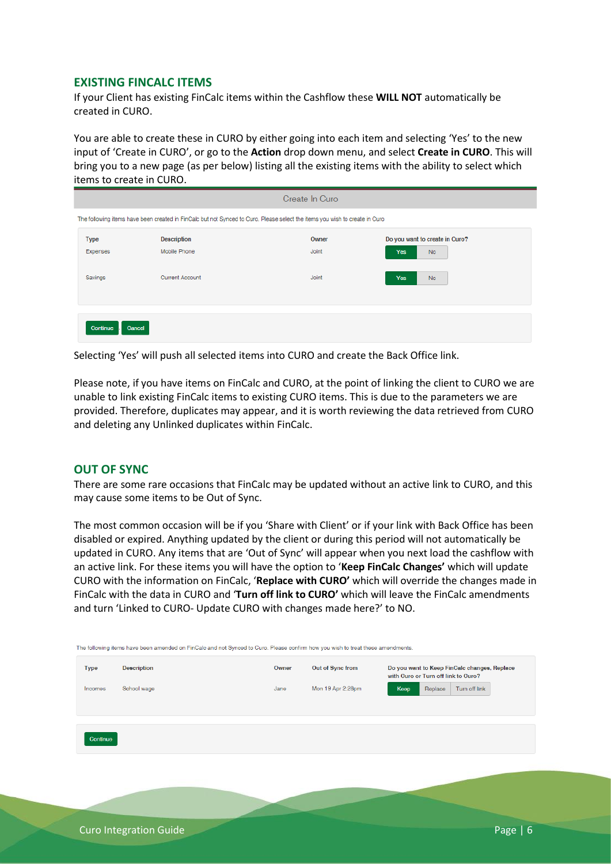#### <span id="page-6-0"></span>**EXISTING FINCALC ITEMS**

If your Client has existing FinCalc items within the Cashflow these **WILL NOT** automatically be created in CURO.

You are able to create these in CURO by either going into each item and selecting 'Yes' to the new input of 'Create in CURO', or go to the **Action** drop down menu, and select **Create in CURO**. This will bring you to a new page (as per below) listing all the existing items with the ability to select which items to create in CURO.

| Create In Curo |                        |                                                                                                                             |                                |  |  |
|----------------|------------------------|-----------------------------------------------------------------------------------------------------------------------------|--------------------------------|--|--|
|                |                        | The following items have been created in FinCalc but not Synced to Curo. Please select the items you wish to create in Curo |                                |  |  |
| <b>Type</b>    | <b>Description</b>     | Owner                                                                                                                       | Do you want to create in Curo? |  |  |
| Expenses       | Mobile Phone           | Joint                                                                                                                       | <b>No</b><br>Yes               |  |  |
| Savings        | <b>Current Account</b> | Joint                                                                                                                       | Yes<br><b>No</b>               |  |  |
|                |                        |                                                                                                                             |                                |  |  |
| Continue       | Cancel                 |                                                                                                                             |                                |  |  |

Selecting 'Yes' will push all selected items into CURO and create the Back Office link.

Please note, if you have items on FinCalc and CURO, at the point of linking the client to CURO we are unable to link existing FinCalc items to existing CURO items. This is due to the parameters we are provided. Therefore, duplicates may appear, and it is worth reviewing the data retrieved from CURO and deleting any Unlinked duplicates within FinCalc.

#### <span id="page-6-1"></span>**OUT OF SYNC**

There are some rare occasions that FinCalc may be updated without an active link to CURO, and this may cause some items to be Out of Sync.

The most common occasion will be if you 'Share with Client' or if your link with Back Office has been disabled or expired. Anything updated by the client or during this period will not automatically be updated in CURO. Any items that are 'Out of Sync' will appear when you next load the cashflow with an active link. For these items you will have the option to '**Keep FinCalc Changes'** which will update CURO with the information on FinCalc, '**Replace with CURO'** which will override the changes made in FinCalc with the data in CURO and '**Turn off link to CURO'** which will leave the FinCalc amendments and turn 'Linked to CURO- Update CURO with changes made here?' to NO.

| <b>Type</b><br><b>Description</b> | Owner       | Out of Sync from | Do you want to Keep FinCalc changes, Replace<br>with Curo or Turn off link to Curo? |      |                          |  |
|-----------------------------------|-------------|------------------|-------------------------------------------------------------------------------------|------|--------------------------|--|
| Incomes                           | School wage | Jane             | Mon 19 Apr 2:28pm                                                                   | Keep | Turn off link<br>Replace |  |
|                                   |             |                  |                                                                                     |      |                          |  |
|                                   |             |                  |                                                                                     |      |                          |  |
| Continue                          |             |                  |                                                                                     |      |                          |  |
|                                   |             |                  |                                                                                     |      |                          |  |
|                                   |             |                  |                                                                                     |      |                          |  |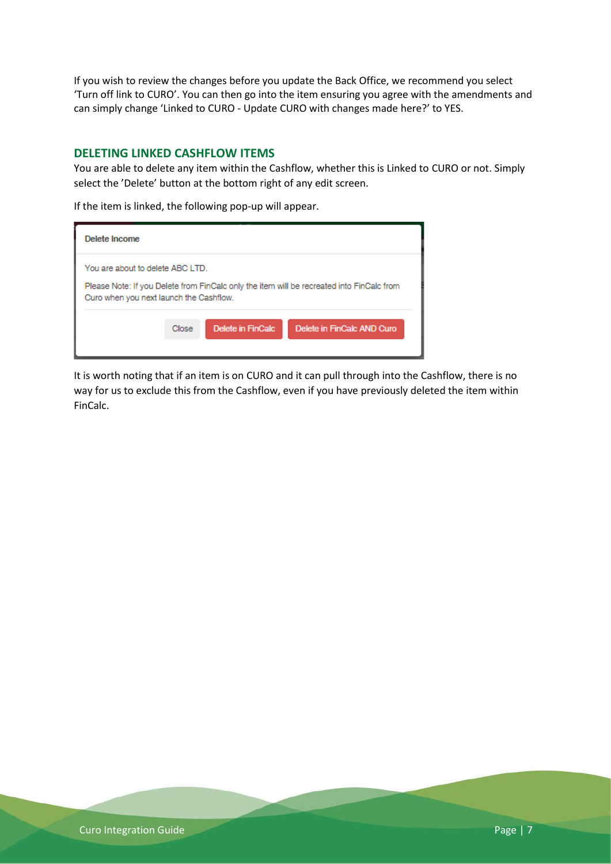If you wish to review the changes before you update the Back Office, we recommend you select 'Turn off link to CURO'. You can then go into the item ensuring you agree with the amendments and can simply change 'Linked to CURO - Update CURO with changes made here?' to YES.

#### <span id="page-7-0"></span>**DELETING LINKED CASHFLOW ITEMS**

You are able to delete any item within the Cashflow, whether this is Linked to CURO or not. Simply select the 'Delete' button at the bottom right of any edit screen.

If the item is linked, the following pop-up will appear.

| Delete Income                                                               |       |                   |                                                                                           |
|-----------------------------------------------------------------------------|-------|-------------------|-------------------------------------------------------------------------------------------|
| You are about to delete ABC LTD.<br>Curo when you next launch the Cashflow. |       |                   | Please Note: If you Delete from FinCalc only the item will be recreated into FinCalc from |
|                                                                             | Close | Delete in FinCalc | Delete in FinCalc AND Curo                                                                |

It is worth noting that if an item is on CURO and it can pull through into the Cashflow, there is no way for us to exclude this from the Cashflow, even if you have previously deleted the item within FinCalc.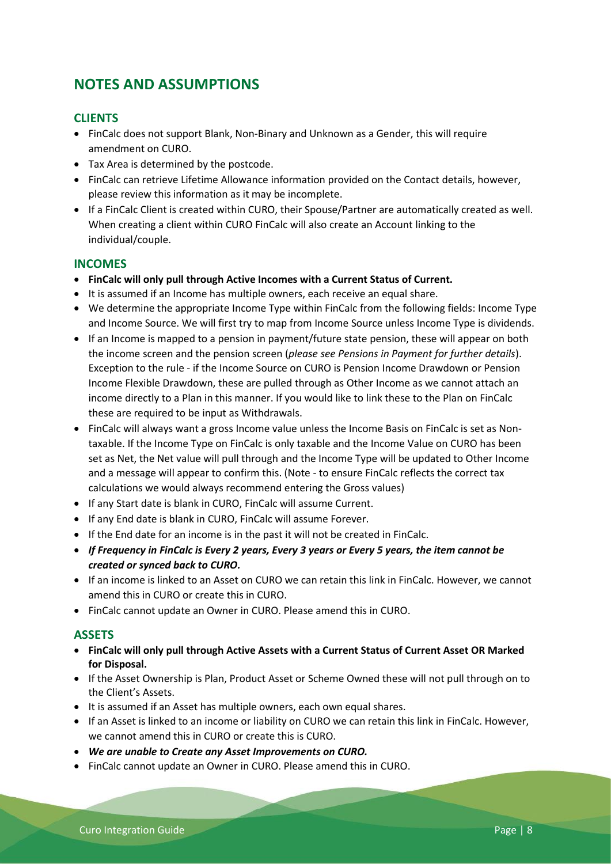# <span id="page-8-0"></span>**NOTES AND ASSUMPTIONS**

# <span id="page-8-1"></span>**CLIENTS**

- FinCalc does not support Blank, Non-Binary and Unknown as a Gender, this will require amendment on CURO.
- Tax Area is determined by the postcode.
- FinCalc can retrieve Lifetime Allowance information provided on the Contact details, however, please review this information as it may be incomplete.
- If a FinCalc Client is created within CURO, their Spouse/Partner are automatically created as well. When creating a client within CURO FinCalc will also create an Account linking to the individual/couple.

#### <span id="page-8-2"></span>**INCOMES**

- **FinCalc will only pull through Active Incomes with a Current Status of Current.**
- It is assumed if an Income has multiple owners, each receive an equal share.
- We determine the appropriate Income Type within FinCalc from the following fields: Income Type and Income Source. We will first try to map from Income Source unless Income Type is dividends.
- If an Income is mapped to a pension in payment/future state pension, these will appear on both the income screen and the pension screen (*please see Pensions in Payment for further details*). Exception to the rule - if the Income Source on CURO is Pension Income Drawdown or Pension Income Flexible Drawdown, these are pulled through as Other Income as we cannot attach an income directly to a Plan in this manner. If you would like to link these to the Plan on FinCalc these are required to be input as Withdrawals.
- FinCalc will always want a gross Income value unless the Income Basis on FinCalc is set as Nontaxable. If the Income Type on FinCalc is only taxable and the Income Value on CURO has been set as Net, the Net value will pull through and the Income Type will be updated to Other Income and a message will appear to confirm this. (Note - to ensure FinCalc reflects the correct tax calculations we would always recommend entering the Gross values)
- If any Start date is blank in CURO, FinCalc will assume Current.
- If any End date is blank in CURO, FinCalc will assume Forever.
- If the End date for an income is in the past it will not be created in FinCalc.
- *If Frequency in FinCalc is Every 2 years, Every 3 years or Every 5 years, the item cannot be created or synced back to CURO.*
- If an income is linked to an Asset on CURO we can retain this link in FinCalc. However, we cannot amend this in CURO or create this in CURO.
- FinCalc cannot update an Owner in CURO. Please amend this in CURO.

#### <span id="page-8-3"></span>**ASSETS**

- **FinCalc will only pull through Active Assets with a Current Status of Current Asset OR Marked for Disposal.**
- If the Asset Ownership is Plan, Product Asset or Scheme Owned these will not pull through on to the Client's Assets.
- It is assumed if an Asset has multiple owners, each own equal shares.
- If an Asset is linked to an income or liability on CURO we can retain this link in FinCalc. However, we cannot amend this in CURO or create this is CURO.
- *We are unable to Create any Asset Improvements on CURO.*
- FinCalc cannot update an Owner in CURO. Please amend this in CURO.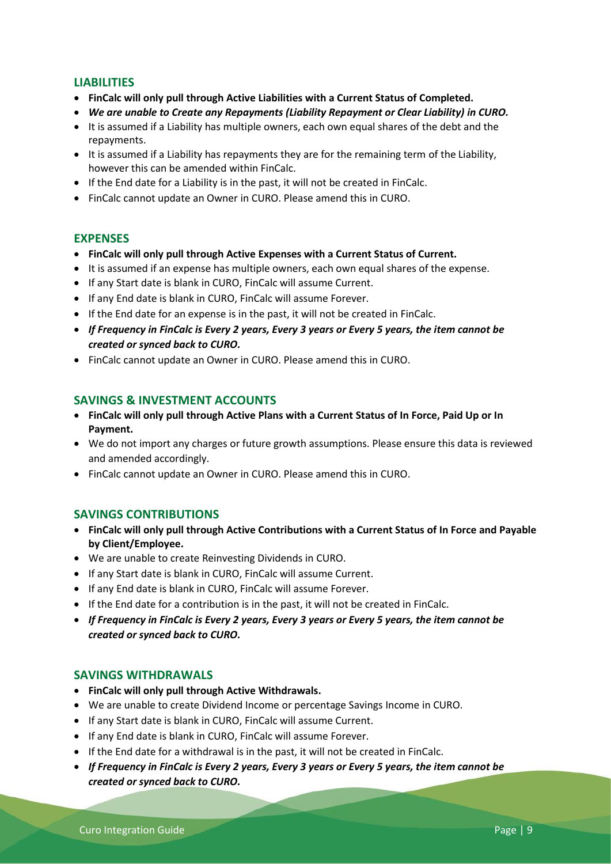## <span id="page-9-0"></span>**LIABILITIES**

- **FinCalc will only pull through Active Liabilities with a Current Status of Completed.**
- *We are unable to Create any Repayments (Liability Repayment or Clear Liability) in CURO.*
- It is assumed if a Liability has multiple owners, each own equal shares of the debt and the repayments.
- It is assumed if a Liability has repayments they are for the remaining term of the Liability, however this can be amended within FinCalc.
- If the End date for a Liability is in the past, it will not be created in FinCalc.
- FinCalc cannot update an Owner in CURO. Please amend this in CURO.

#### <span id="page-9-1"></span>**EXPENSES**

- **FinCalc will only pull through Active Expenses with a Current Status of Current.**
- It is assumed if an expense has multiple owners, each own equal shares of the expense.
- If any Start date is blank in CURO, FinCalc will assume Current.
- If any End date is blank in CURO, FinCalc will assume Forever.
- If the End date for an expense is in the past, it will not be created in FinCalc.
- *If Frequency in FinCalc is Every 2 years, Every 3 years or Every 5 years, the item cannot be created or synced back to CURO.*
- FinCalc cannot update an Owner in CURO. Please amend this in CURO.

#### <span id="page-9-2"></span>**SAVINGS & INVESTMENT ACCOUNTS**

- **FinCalc will only pull through Active Plans with a Current Status of In Force, Paid Up or In Payment.**
- We do not import any charges or future growth assumptions. Please ensure this data is reviewed and amended accordingly.
- FinCalc cannot update an Owner in CURO. Please amend this in CURO.

#### <span id="page-9-3"></span>**SAVINGS CONTRIBUTIONS**

- **FinCalc will only pull through Active Contributions with a Current Status of In Force and Payable by Client/Employee.**
- We are unable to create Reinvesting Dividends in CURO.
- If any Start date is blank in CURO, FinCalc will assume Current.
- If any End date is blank in CURO, FinCalc will assume Forever.
- If the End date for a contribution is in the past, it will not be created in FinCalc.
- *If Frequency in FinCalc is Every 2 years, Every 3 years or Every 5 years, the item cannot be created or synced back to CURO.*

#### <span id="page-9-4"></span>**SAVINGS WITHDRAWALS**

- **FinCalc will only pull through Active Withdrawals.**
- We are unable to create Dividend Income or percentage Savings Income in CURO.
- If any Start date is blank in CURO, FinCalc will assume Current.
- If any End date is blank in CURO, FinCalc will assume Forever.
- If the End date for a withdrawal is in the past, it will not be created in FinCalc.
- *If Frequency in FinCalc is Every 2 years, Every 3 years or Every 5 years, the item cannot be created or synced back to CURO.*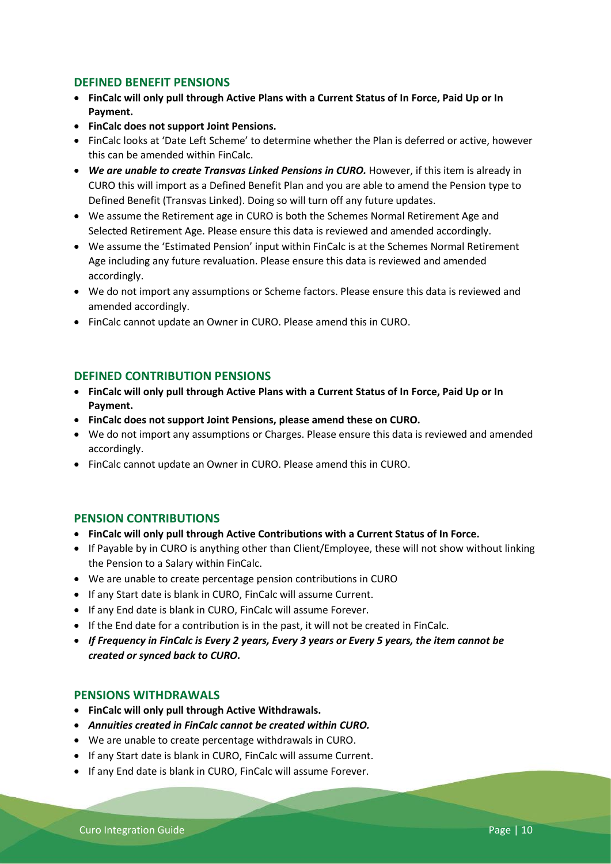#### <span id="page-10-0"></span>**DEFINED BENEFIT PENSIONS**

- **FinCalc will only pull through Active Plans with a Current Status of In Force, Paid Up or In Payment.**
- **FinCalc does not support Joint Pensions.**
- FinCalc looks at 'Date Left Scheme' to determine whether the Plan is deferred or active, however this can be amended within FinCalc.
- *We are unable to create Transvas Linked Pensions in CURO.* However, if this item is already in CURO this will import as a Defined Benefit Plan and you are able to amend the Pension type to Defined Benefit (Transvas Linked). Doing so will turn off any future updates.
- We assume the Retirement age in CURO is both the Schemes Normal Retirement Age and Selected Retirement Age. Please ensure this data is reviewed and amended accordingly.
- We assume the 'Estimated Pension' input within FinCalc is at the Schemes Normal Retirement Age including any future revaluation. Please ensure this data is reviewed and amended accordingly.
- We do not import any assumptions or Scheme factors. Please ensure this data is reviewed and amended accordingly.
- FinCalc cannot update an Owner in CURO. Please amend this in CURO.

#### <span id="page-10-1"></span>**DEFINED CONTRIBUTION PENSIONS**

- **FinCalc will only pull through Active Plans with a Current Status of In Force, Paid Up or In Payment.**
- **FinCalc does not support Joint Pensions, please amend these on CURO.**
- We do not import any assumptions or Charges. Please ensure this data is reviewed and amended accordingly.
- FinCalc cannot update an Owner in CURO. Please amend this in CURO.

#### <span id="page-10-2"></span>**PENSION CONTRIBUTIONS**

- **FinCalc will only pull through Active Contributions with a Current Status of In Force.**
- If Payable by in CURO is anything other than Client/Employee, these will not show without linking the Pension to a Salary within FinCalc.
- We are unable to create percentage pension contributions in CURO
- If any Start date is blank in CURO, FinCalc will assume Current.
- If any End date is blank in CURO, FinCalc will assume Forever.
- If the End date for a contribution is in the past, it will not be created in FinCalc.
- *If Frequency in FinCalc is Every 2 years, Every 3 years or Every 5 years, the item cannot be created or synced back to CURO.*

#### <span id="page-10-3"></span>**PENSIONS WITHDRAWALS**

- **FinCalc will only pull through Active Withdrawals.**
- *Annuities created in FinCalc cannot be created within CURO.*
- We are unable to create percentage withdrawals in CURO.
- If any Start date is blank in CURO, FinCalc will assume Current.
- If any End date is blank in CURO, FinCalc will assume Forever.